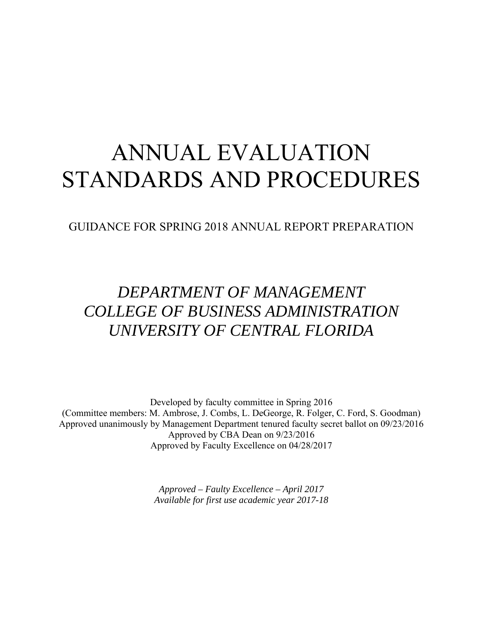# ANNUAL EVALUATION STANDARDS AND PROCEDURES

GUIDANCE FOR SPRING 2018 ANNUAL REPORT PREPARATION

# *DEPARTMENT OF MANAGEMENT COLLEGE OF BUSINESS ADMINISTRATION UNIVERSITY OF CENTRAL FLORIDA*

Developed by faculty committee in Spring 2016 (Committee members: M. Ambrose, J. Combs, L. DeGeorge, R. Folger, C. Ford, S. Goodman) Approved unanimously by Management Department tenured faculty secret ballot on 09/23/2016 Approved by CBA Dean on 9/23/2016 Approved by Faculty Excellence on 04/28/2017

> *Approved – Faulty Excellence – April 2017 Available for first use academic year 2017-18*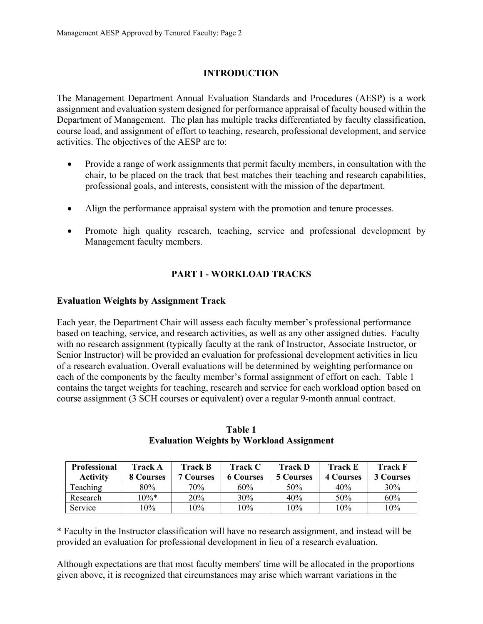# **INTRODUCTION**

The Management Department Annual Evaluation Standards and Procedures (AESP) is a work assignment and evaluation system designed for performance appraisal of faculty housed within the Department of Management. The plan has multiple tracks differentiated by faculty classification, course load, and assignment of effort to teaching, research, professional development, and service activities. The objectives of the AESP are to:

- Provide a range of work assignments that permit faculty members, in consultation with the chair, to be placed on the track that best matches their teaching and research capabilities, professional goals, and interests, consistent with the mission of the department.
- Align the performance appraisal system with the promotion and tenure processes.
- Promote high quality research, teaching, service and professional development by Management faculty members.

# **PART I - WORKLOAD TRACKS**

## **Evaluation Weights by Assignment Track**

Each year, the Department Chair will assess each faculty member's professional performance based on teaching, service, and research activities, as well as any other assigned duties. Faculty with no research assignment (typically faculty at the rank of Instructor, Associate Instructor, or Senior Instructor) will be provided an evaluation for professional development activities in lieu of a research evaluation. Overall evaluations will be determined by weighting performance on each of the components by the faculty member's formal assignment of effort on each. Table 1 contains the target weights for teaching, research and service for each workload option based on course assignment (3 SCH courses or equivalent) over a regular 9-month annual contract.

| <b>Professional</b> | Track A   | <b>Track B</b>   | <b>Track C</b>   | <b>Track D</b> | <b>Track E</b>   | Track F          |
|---------------------|-----------|------------------|------------------|----------------|------------------|------------------|
| <b>Activity</b>     | 8 Courses | <b>7 Courses</b> | <b>6 Courses</b> | 5 Courses      | <b>4 Courses</b> | <b>3 Courses</b> |
| Teaching            | 80%       | 70%              | 60%              | 50%            | 40%              | 30%              |
| Research            | $10\%*$   | 20%              | 30%              | 40%            | 50%              | 60%              |
| Service             | $.0\%$    | 10%              | 10%              | 10%            | 10%              | 10%              |

**Table 1 Evaluation Weights by Workload Assignment** 

\* Faculty in the Instructor classification will have no research assignment, and instead will be provided an evaluation for professional development in lieu of a research evaluation.

Although expectations are that most faculty members' time will be allocated in the proportions given above, it is recognized that circumstances may arise which warrant variations in the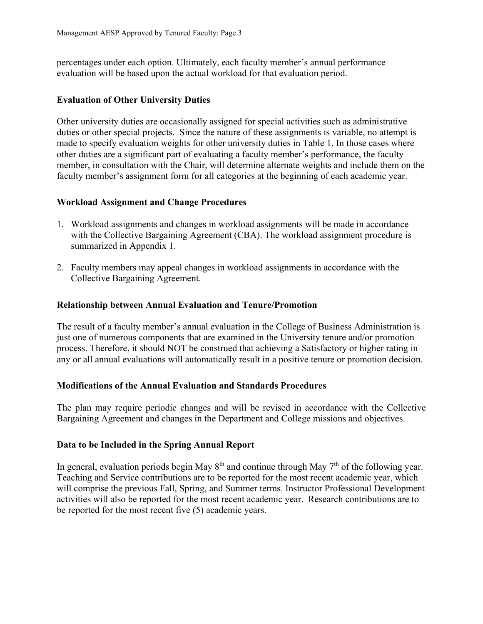percentages under each option. Ultimately, each faculty member's annual performance evaluation will be based upon the actual workload for that evaluation period.

#### **Evaluation of Other University Duties**

Other university duties are occasionally assigned for special activities such as administrative duties or other special projects. Since the nature of these assignments is variable, no attempt is made to specify evaluation weights for other university duties in Table 1. In those cases where other duties are a significant part of evaluating a faculty member's performance, the faculty member, in consultation with the Chair, will determine alternate weights and include them on the faculty member's assignment form for all categories at the beginning of each academic year.

#### **Workload Assignment and Change Procedures**

- 1. Workload assignments and changes in workload assignments will be made in accordance with the Collective Bargaining Agreement (CBA). The workload assignment procedure is summarized in Appendix 1.
- 2. Faculty members may appeal changes in workload assignments in accordance with the Collective Bargaining Agreement.

#### **Relationship between Annual Evaluation and Tenure/Promotion**

The result of a faculty member's annual evaluation in the College of Business Administration is just one of numerous components that are examined in the University tenure and/or promotion process. Therefore, it should NOT be construed that achieving a Satisfactory or higher rating in any or all annual evaluations will automatically result in a positive tenure or promotion decision.

#### **Modifications of the Annual Evaluation and Standards Procedures**

The plan may require periodic changes and will be revised in accordance with the Collective Bargaining Agreement and changes in the Department and College missions and objectives.

#### **Data to be Included in the Spring Annual Report**

In general, evaluation periods begin May  $8<sup>th</sup>$  and continue through May  $7<sup>th</sup>$  of the following year. Teaching and Service contributions are to be reported for the most recent academic year, which will comprise the previous Fall, Spring, and Summer terms. Instructor Professional Development activities will also be reported for the most recent academic year. Research contributions are to be reported for the most recent five (5) academic years.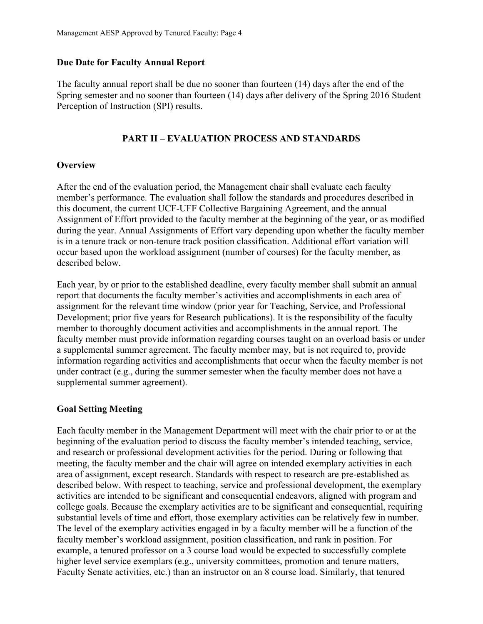#### **Due Date for Faculty Annual Report**

The faculty annual report shall be due no sooner than fourteen (14) days after the end of the Spring semester and no sooner than fourteen (14) days after delivery of the Spring 2016 Student Perception of Instruction (SPI) results.

#### **PART II – EVALUATION PROCESS AND STANDARDS**

#### **Overview**

After the end of the evaluation period, the Management chair shall evaluate each faculty member's performance. The evaluation shall follow the standards and procedures described in this document, the current UCF-UFF Collective Bargaining Agreement, and the annual Assignment of Effort provided to the faculty member at the beginning of the year, or as modified during the year. Annual Assignments of Effort vary depending upon whether the faculty member is in a tenure track or non-tenure track position classification. Additional effort variation will occur based upon the workload assignment (number of courses) for the faculty member, as described below.

Each year, by or prior to the established deadline, every faculty member shall submit an annual report that documents the faculty member's activities and accomplishments in each area of assignment for the relevant time window (prior year for Teaching, Service, and Professional Development; prior five years for Research publications). It is the responsibility of the faculty member to thoroughly document activities and accomplishments in the annual report. The faculty member must provide information regarding courses taught on an overload basis or under a supplemental summer agreement. The faculty member may, but is not required to, provide information regarding activities and accomplishments that occur when the faculty member is not under contract (e.g., during the summer semester when the faculty member does not have a supplemental summer agreement).

#### **Goal Setting Meeting**

Each faculty member in the Management Department will meet with the chair prior to or at the beginning of the evaluation period to discuss the faculty member's intended teaching, service, and research or professional development activities for the period. During or following that meeting, the faculty member and the chair will agree on intended exemplary activities in each area of assignment, except research. Standards with respect to research are pre-established as described below. With respect to teaching, service and professional development, the exemplary activities are intended to be significant and consequential endeavors, aligned with program and college goals. Because the exemplary activities are to be significant and consequential, requiring substantial levels of time and effort, those exemplary activities can be relatively few in number. The level of the exemplary activities engaged in by a faculty member will be a function of the faculty member's workload assignment, position classification, and rank in position. For example, a tenured professor on a 3 course load would be expected to successfully complete higher level service exemplars (e.g., university committees, promotion and tenure matters, Faculty Senate activities, etc.) than an instructor on an 8 course load. Similarly, that tenured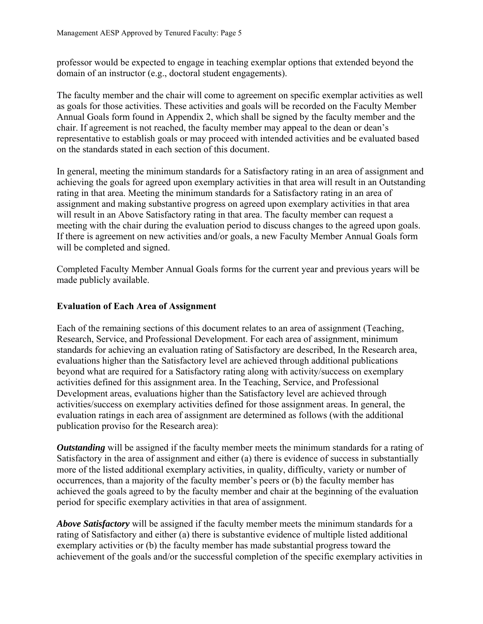professor would be expected to engage in teaching exemplar options that extended beyond the domain of an instructor (e.g., doctoral student engagements).

The faculty member and the chair will come to agreement on specific exemplar activities as well as goals for those activities. These activities and goals will be recorded on the Faculty Member Annual Goals form found in Appendix 2, which shall be signed by the faculty member and the chair. If agreement is not reached, the faculty member may appeal to the dean or dean's representative to establish goals or may proceed with intended activities and be evaluated based on the standards stated in each section of this document.

In general, meeting the minimum standards for a Satisfactory rating in an area of assignment and achieving the goals for agreed upon exemplary activities in that area will result in an Outstanding rating in that area. Meeting the minimum standards for a Satisfactory rating in an area of assignment and making substantive progress on agreed upon exemplary activities in that area will result in an Above Satisfactory rating in that area. The faculty member can request a meeting with the chair during the evaluation period to discuss changes to the agreed upon goals. If there is agreement on new activities and/or goals, a new Faculty Member Annual Goals form will be completed and signed.

Completed Faculty Member Annual Goals forms for the current year and previous years will be made publicly available.

#### **Evaluation of Each Area of Assignment**

Each of the remaining sections of this document relates to an area of assignment (Teaching, Research, Service, and Professional Development. For each area of assignment, minimum standards for achieving an evaluation rating of Satisfactory are described, In the Research area, evaluations higher than the Satisfactory level are achieved through additional publications beyond what are required for a Satisfactory rating along with activity/success on exemplary activities defined for this assignment area. In the Teaching, Service, and Professional Development areas, evaluations higher than the Satisfactory level are achieved through activities/success on exemplary activities defined for those assignment areas. In general, the evaluation ratings in each area of assignment are determined as follows (with the additional publication proviso for the Research area):

*Outstanding* will be assigned if the faculty member meets the minimum standards for a rating of Satisfactory in the area of assignment and either (a) there is evidence of success in substantially more of the listed additional exemplary activities, in quality, difficulty, variety or number of occurrences, than a majority of the faculty member's peers or (b) the faculty member has achieved the goals agreed to by the faculty member and chair at the beginning of the evaluation period for specific exemplary activities in that area of assignment.

*Above Satisfactory* will be assigned if the faculty member meets the minimum standards for a rating of Satisfactory and either (a) there is substantive evidence of multiple listed additional exemplary activities or (b) the faculty member has made substantial progress toward the achievement of the goals and/or the successful completion of the specific exemplary activities in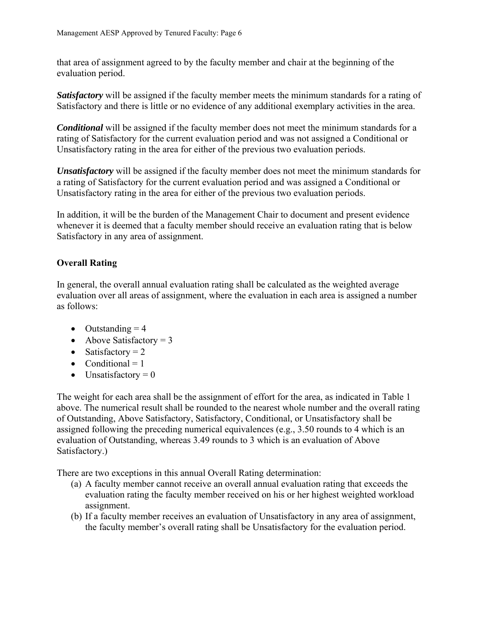that area of assignment agreed to by the faculty member and chair at the beginning of the evaluation period.

*Satisfactory* will be assigned if the faculty member meets the minimum standards for a rating of Satisfactory and there is little or no evidence of any additional exemplary activities in the area.

*Conditional* will be assigned if the faculty member does not meet the minimum standards for a rating of Satisfactory for the current evaluation period and was not assigned a Conditional or Unsatisfactory rating in the area for either of the previous two evaluation periods.

*Unsatisfactory* will be assigned if the faculty member does not meet the minimum standards for a rating of Satisfactory for the current evaluation period and was assigned a Conditional or Unsatisfactory rating in the area for either of the previous two evaluation periods.

In addition, it will be the burden of the Management Chair to document and present evidence whenever it is deemed that a faculty member should receive an evaluation rating that is below Satisfactory in any area of assignment.

# **Overall Rating**

In general, the overall annual evaluation rating shall be calculated as the weighted average evaluation over all areas of assignment, where the evaluation in each area is assigned a number as follows:

- $\bullet$  Outstanding = 4
- Above Satisfactory  $= 3$
- Satisfactory  $= 2$
- Conditional  $= 1$
- $\bullet$  Unsatisfactory = 0

The weight for each area shall be the assignment of effort for the area, as indicated in Table 1 above. The numerical result shall be rounded to the nearest whole number and the overall rating of Outstanding, Above Satisfactory, Satisfactory, Conditional, or Unsatisfactory shall be assigned following the preceding numerical equivalences (e.g., 3.50 rounds to 4 which is an evaluation of Outstanding, whereas 3.49 rounds to 3 which is an evaluation of Above Satisfactory.)

There are two exceptions in this annual Overall Rating determination:

- (a) A faculty member cannot receive an overall annual evaluation rating that exceeds the evaluation rating the faculty member received on his or her highest weighted workload assignment.
- (b) If a faculty member receives an evaluation of Unsatisfactory in any area of assignment, the faculty member's overall rating shall be Unsatisfactory for the evaluation period.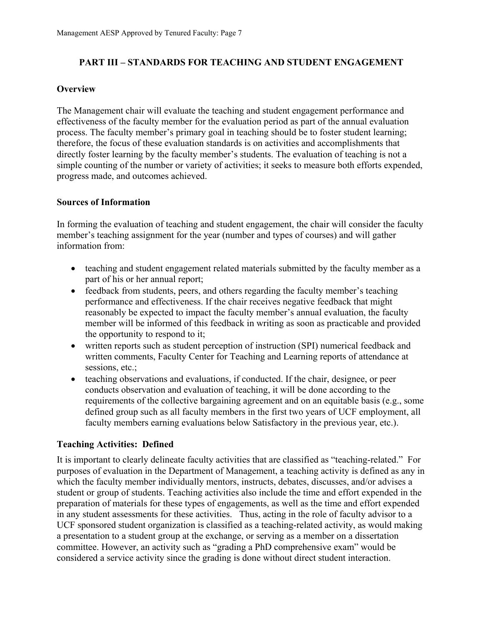#### **PART III – STANDARDS FOR TEACHING AND STUDENT ENGAGEMENT**

#### **Overview**

The Management chair will evaluate the teaching and student engagement performance and effectiveness of the faculty member for the evaluation period as part of the annual evaluation process. The faculty member's primary goal in teaching should be to foster student learning; therefore, the focus of these evaluation standards is on activities and accomplishments that directly foster learning by the faculty member's students. The evaluation of teaching is not a simple counting of the number or variety of activities; it seeks to measure both efforts expended, progress made, and outcomes achieved.

#### **Sources of Information**

In forming the evaluation of teaching and student engagement, the chair will consider the faculty member's teaching assignment for the year (number and types of courses) and will gather information from:

- teaching and student engagement related materials submitted by the faculty member as a part of his or her annual report;
- feedback from students, peers, and others regarding the faculty member's teaching performance and effectiveness. If the chair receives negative feedback that might reasonably be expected to impact the faculty member's annual evaluation, the faculty member will be informed of this feedback in writing as soon as practicable and provided the opportunity to respond to it;
- written reports such as student perception of instruction (SPI) numerical feedback and written comments, Faculty Center for Teaching and Learning reports of attendance at sessions, etc.;
- teaching observations and evaluations, if conducted. If the chair, designee, or peer conducts observation and evaluation of teaching, it will be done according to the requirements of the collective bargaining agreement and on an equitable basis (e.g., some defined group such as all faculty members in the first two years of UCF employment, all faculty members earning evaluations below Satisfactory in the previous year, etc.).

#### **Teaching Activities: Defined**

It is important to clearly delineate faculty activities that are classified as "teaching-related." For purposes of evaluation in the Department of Management, a teaching activity is defined as any in which the faculty member individually mentors, instructs, debates, discusses, and/or advises a student or group of students. Teaching activities also include the time and effort expended in the preparation of materials for these types of engagements, as well as the time and effort expended in any student assessments for these activities. Thus, acting in the role of faculty advisor to a UCF sponsored student organization is classified as a teaching-related activity, as would making a presentation to a student group at the exchange, or serving as a member on a dissertation committee. However, an activity such as "grading a PhD comprehensive exam" would be considered a service activity since the grading is done without direct student interaction.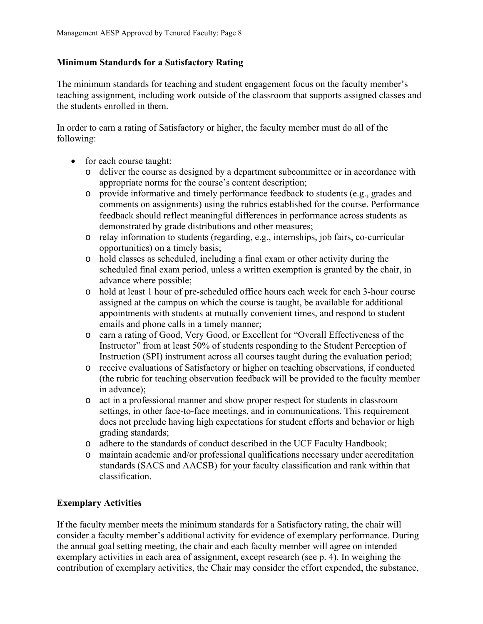#### **Minimum Standards for a Satisfactory Rating**

The minimum standards for teaching and student engagement focus on the faculty member's teaching assignment, including work outside of the classroom that supports assigned classes and the students enrolled in them.

In order to earn a rating of Satisfactory or higher, the faculty member must do all of the following:

- for each course taught:
	- o deliver the course as designed by a department subcommittee or in accordance with appropriate norms for the course's content description;
	- o provide informative and timely performance feedback to students (e.g., grades and comments on assignments) using the rubrics established for the course. Performance feedback should reflect meaningful differences in performance across students as demonstrated by grade distributions and other measures;
	- o relay information to students (regarding, e.g., internships, job fairs, co-curricular opportunities) on a timely basis;
	- o hold classes as scheduled, including a final exam or other activity during the scheduled final exam period, unless a written exemption is granted by the chair, in advance where possible;
	- o hold at least 1 hour of pre-scheduled office hours each week for each 3-hour course assigned at the campus on which the course is taught, be available for additional appointments with students at mutually convenient times, and respond to student emails and phone calls in a timely manner;
	- o earn a rating of Good, Very Good, or Excellent for "Overall Effectiveness of the Instructor" from at least 50% of students responding to the Student Perception of Instruction (SPI) instrument across all courses taught during the evaluation period;
	- o receive evaluations of Satisfactory or higher on teaching observations, if conducted (the rubric for teaching observation feedback will be provided to the faculty member in advance);
	- o act in a professional manner and show proper respect for students in classroom settings, in other face-to-face meetings, and in communications. This requirement does not preclude having high expectations for student efforts and behavior or high grading standards;
	- o adhere to the standards of conduct described in the UCF Faculty Handbook;
	- o maintain academic and/or professional qualifications necessary under accreditation standards (SACS and AACSB) for your faculty classification and rank within that classification.

# **Exemplary Activities**

If the faculty member meets the minimum standards for a Satisfactory rating, the chair will consider a faculty member's additional activity for evidence of exemplary performance. During the annual goal setting meeting, the chair and each faculty member will agree on intended exemplary activities in each area of assignment, except research (see p. 4). In weighing the contribution of exemplary activities, the Chair may consider the effort expended, the substance,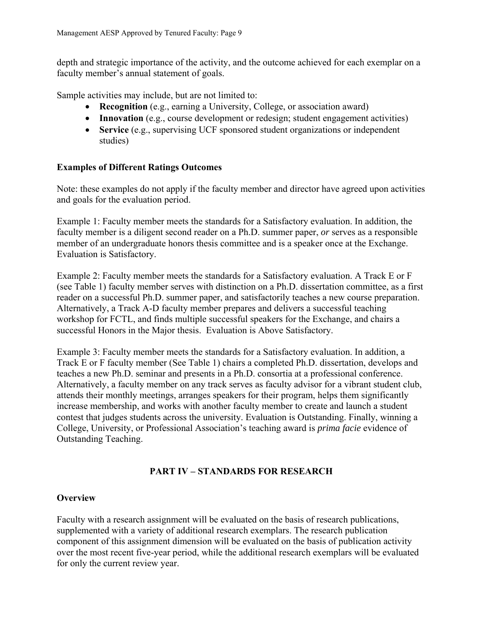depth and strategic importance of the activity, and the outcome achieved for each exemplar on a faculty member's annual statement of goals.

Sample activities may include, but are not limited to:

- **Recognition** (e.g., earning a University, College, or association award)
- **Innovation** (e.g., course development or redesign; student engagement activities)
- **Service** (e.g., supervising UCF sponsored student organizations or independent studies)

## **Examples of Different Ratings Outcomes**

Note: these examples do not apply if the faculty member and director have agreed upon activities and goals for the evaluation period.

Example 1: Faculty member meets the standards for a Satisfactory evaluation. In addition, the faculty member is a diligent second reader on a Ph.D. summer paper, *or* serves as a responsible member of an undergraduate honors thesis committee and is a speaker once at the Exchange. Evaluation is Satisfactory.

Example 2: Faculty member meets the standards for a Satisfactory evaluation. A Track E or F (see Table 1) faculty member serves with distinction on a Ph.D. dissertation committee, as a first reader on a successful Ph.D. summer paper, and satisfactorily teaches a new course preparation. Alternatively, a Track A-D faculty member prepares and delivers a successful teaching workshop for FCTL, and finds multiple successful speakers for the Exchange, and chairs a successful Honors in the Major thesis. Evaluation is Above Satisfactory.

Example 3: Faculty member meets the standards for a Satisfactory evaluation. In addition, a Track E or F faculty member (See Table 1) chairs a completed Ph.D. dissertation, develops and teaches a new Ph.D. seminar and presents in a Ph.D. consortia at a professional conference. Alternatively, a faculty member on any track serves as faculty advisor for a vibrant student club, attends their monthly meetings, arranges speakers for their program, helps them significantly increase membership, and works with another faculty member to create and launch a student contest that judges students across the university. Evaluation is Outstanding. Finally, winning a College, University, or Professional Association's teaching award is *prima facie* evidence of Outstanding Teaching.

# **PART IV – STANDARDS FOR RESEARCH**

#### **Overview**

Faculty with a research assignment will be evaluated on the basis of research publications, supplemented with a variety of additional research exemplars. The research publication component of this assignment dimension will be evaluated on the basis of publication activity over the most recent five-year period, while the additional research exemplars will be evaluated for only the current review year.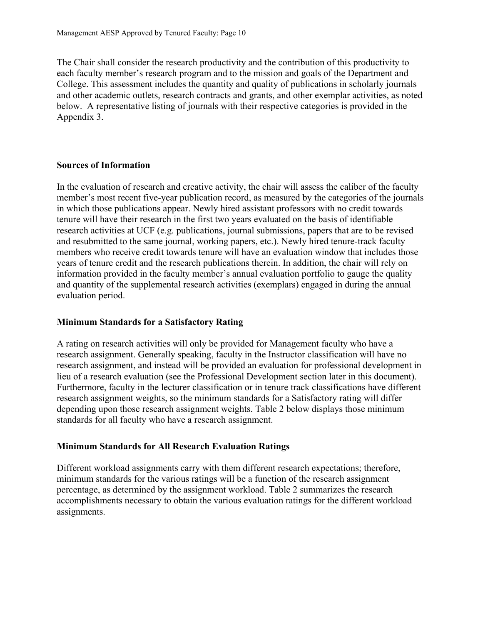The Chair shall consider the research productivity and the contribution of this productivity to each faculty member's research program and to the mission and goals of the Department and College. This assessment includes the quantity and quality of publications in scholarly journals and other academic outlets, research contracts and grants, and other exemplar activities, as noted below. A representative listing of journals with their respective categories is provided in the Appendix 3.

#### **Sources of Information**

In the evaluation of research and creative activity, the chair will assess the caliber of the faculty member's most recent five-year publication record, as measured by the categories of the journals in which those publications appear. Newly hired assistant professors with no credit towards tenure will have their research in the first two years evaluated on the basis of identifiable research activities at UCF (e.g. publications, journal submissions, papers that are to be revised and resubmitted to the same journal, working papers, etc.). Newly hired tenure-track faculty members who receive credit towards tenure will have an evaluation window that includes those years of tenure credit and the research publications therein. In addition, the chair will rely on information provided in the faculty member's annual evaluation portfolio to gauge the quality and quantity of the supplemental research activities (exemplars) engaged in during the annual evaluation period.

#### **Minimum Standards for a Satisfactory Rating**

A rating on research activities will only be provided for Management faculty who have a research assignment. Generally speaking, faculty in the Instructor classification will have no research assignment, and instead will be provided an evaluation for professional development in lieu of a research evaluation (see the Professional Development section later in this document). Furthermore, faculty in the lecturer classification or in tenure track classifications have different research assignment weights, so the minimum standards for a Satisfactory rating will differ depending upon those research assignment weights. Table 2 below displays those minimum standards for all faculty who have a research assignment.

#### **Minimum Standards for All Research Evaluation Ratings**

Different workload assignments carry with them different research expectations; therefore, minimum standards for the various ratings will be a function of the research assignment percentage, as determined by the assignment workload. Table 2 summarizes the research accomplishments necessary to obtain the various evaluation ratings for the different workload assignments.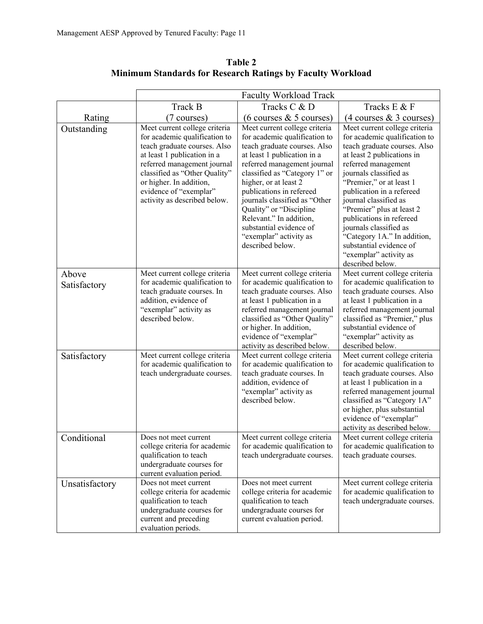|                       | <b>Faculty Workload Track</b>                                                                                                                                                                                                                                                      |                                                                                                                                                                                                                                                                                                                                                                                                                    |                                                                                                                                                                                                                                                                                                                                                                                                                                                            |  |
|-----------------------|------------------------------------------------------------------------------------------------------------------------------------------------------------------------------------------------------------------------------------------------------------------------------------|--------------------------------------------------------------------------------------------------------------------------------------------------------------------------------------------------------------------------------------------------------------------------------------------------------------------------------------------------------------------------------------------------------------------|------------------------------------------------------------------------------------------------------------------------------------------------------------------------------------------------------------------------------------------------------------------------------------------------------------------------------------------------------------------------------------------------------------------------------------------------------------|--|
|                       | <b>Track B</b>                                                                                                                                                                                                                                                                     | Tracks C & D                                                                                                                                                                                                                                                                                                                                                                                                       | Tracks E & F                                                                                                                                                                                                                                                                                                                                                                                                                                               |  |
| Rating                | (7 courses)                                                                                                                                                                                                                                                                        | $(6 \text{ courses } \& 5 \text{ courses})$                                                                                                                                                                                                                                                                                                                                                                        | $(4 \text{ courses } \& 3 \text{ courses})$                                                                                                                                                                                                                                                                                                                                                                                                                |  |
| Outstanding           | Meet current college criteria<br>for academic qualification to<br>teach graduate courses. Also<br>at least 1 publication in a<br>referred management journal<br>classified as "Other Quality"<br>or higher. In addition,<br>evidence of "exemplar"<br>activity as described below. | Meet current college criteria<br>for academic qualification to<br>teach graduate courses. Also<br>at least 1 publication in a<br>referred management journal<br>classified as "Category 1" or<br>higher, or at least 2<br>publications in refereed<br>journals classified as "Other<br>Quality" or "Discipline<br>Relevant." In addition,<br>substantial evidence of<br>"exemplar" activity as<br>described below. | Meet current college criteria<br>for academic qualification to<br>teach graduate courses. Also<br>at least 2 publications in<br>referred management<br>journals classified as<br>"Premier," or at least 1<br>publication in a refereed<br>journal classified as<br>"Premier" plus at least 2<br>publications in refereed<br>journals classified as<br>"Category 1A." In addition,<br>substantial evidence of<br>"exemplar" activity as<br>described below. |  |
| Above<br>Satisfactory | Meet current college criteria<br>for academic qualification to<br>teach graduate courses. In<br>addition, evidence of<br>"exemplar" activity as<br>described below.                                                                                                                | Meet current college criteria<br>for academic qualification to<br>teach graduate courses. Also<br>at least 1 publication in a<br>referred management journal<br>classified as "Other Quality"<br>or higher. In addition,<br>evidence of "exemplar"<br>activity as described below.                                                                                                                                 | Meet current college criteria<br>for academic qualification to<br>teach graduate courses. Also<br>at least 1 publication in a<br>referred management journal<br>classified as "Premier," plus<br>substantial evidence of<br>"exemplar" activity as<br>described below.                                                                                                                                                                                     |  |
| Satisfactory          | Meet current college criteria<br>for academic qualification to<br>teach undergraduate courses.                                                                                                                                                                                     | Meet current college criteria<br>for academic qualification to<br>teach graduate courses. In<br>addition, evidence of<br>"exemplar" activity as<br>described below.                                                                                                                                                                                                                                                | Meet current college criteria<br>for academic qualification to<br>teach graduate courses. Also<br>at least 1 publication in a<br>referred management journal<br>classified as "Category 1A"<br>or higher, plus substantial<br>evidence of "exemplar"<br>activity as described below.                                                                                                                                                                       |  |
| Conditional           | Does not meet current<br>college criteria for academic<br>qualification to teach<br>undergraduate courses for<br>current evaluation period.                                                                                                                                        | Meet current college criteria<br>for academic qualification to<br>teach undergraduate courses.                                                                                                                                                                                                                                                                                                                     | Meet current college criteria<br>for academic qualification to<br>teach graduate courses.                                                                                                                                                                                                                                                                                                                                                                  |  |
| Unsatisfactory        | Does not meet current<br>college criteria for academic<br>qualification to teach<br>undergraduate courses for<br>current and preceding<br>evaluation periods.                                                                                                                      | Does not meet current<br>college criteria for academic<br>qualification to teach<br>undergraduate courses for<br>current evaluation period.                                                                                                                                                                                                                                                                        | Meet current college criteria<br>for academic qualification to<br>teach undergraduate courses.                                                                                                                                                                                                                                                                                                                                                             |  |

**Table 2 Minimum Standards for Research Ratings by Faculty Workload**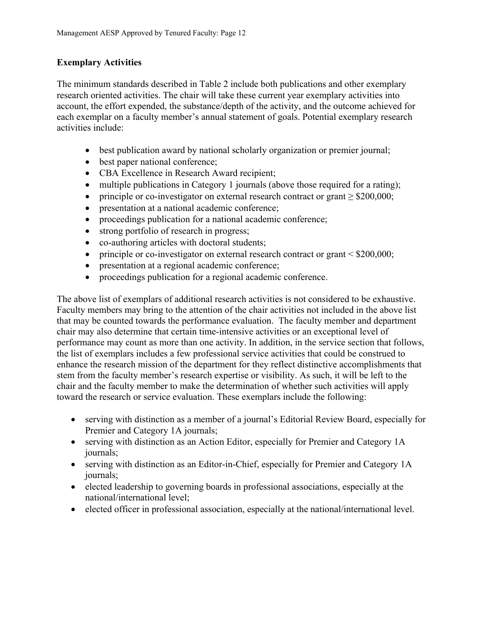#### **Exemplary Activities**

The minimum standards described in Table 2 include both publications and other exemplary research oriented activities. The chair will take these current year exemplary activities into account, the effort expended, the substance/depth of the activity, and the outcome achieved for each exemplar on a faculty member's annual statement of goals. Potential exemplary research activities include:

- best publication award by national scholarly organization or premier journal;
- best paper national conference;
- CBA Excellence in Research Award recipient;
- multiple publications in Category 1 journals (above those required for a rating);
- principle or co-investigator on external research contract or grant > \$200,000;
- presentation at a national academic conference;
- proceedings publication for a national academic conference;
- strong portfolio of research in progress;
- co-authoring articles with doctoral students;
- principle or co-investigator on external research contract or grant < \$200,000;
- presentation at a regional academic conference;
- proceedings publication for a regional academic conference.

The above list of exemplars of additional research activities is not considered to be exhaustive. Faculty members may bring to the attention of the chair activities not included in the above list that may be counted towards the performance evaluation. The faculty member and department chair may also determine that certain time-intensive activities or an exceptional level of performance may count as more than one activity. In addition, in the service section that follows, the list of exemplars includes a few professional service activities that could be construed to enhance the research mission of the department for they reflect distinctive accomplishments that stem from the faculty member's research expertise or visibility. As such, it will be left to the chair and the faculty member to make the determination of whether such activities will apply toward the research or service evaluation. These exemplars include the following:

- serving with distinction as a member of a journal's Editorial Review Board, especially for Premier and Category 1A journals;
- serving with distinction as an Action Editor, especially for Premier and Category 1A journals;
- serving with distinction as an Editor-in-Chief, especially for Premier and Category 1A journals;
- elected leadership to governing boards in professional associations, especially at the national/international level;
- elected officer in professional association, especially at the national/international level.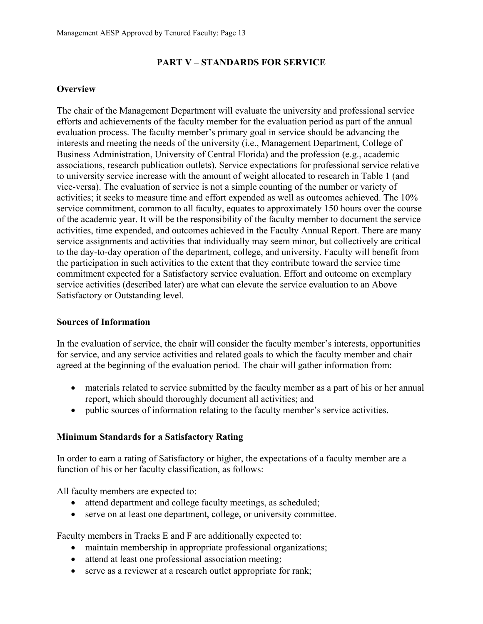#### **PART V – STANDARDS FOR SERVICE**

#### **Overview**

The chair of the Management Department will evaluate the university and professional service efforts and achievements of the faculty member for the evaluation period as part of the annual evaluation process. The faculty member's primary goal in service should be advancing the interests and meeting the needs of the university (i.e., Management Department, College of Business Administration, University of Central Florida) and the profession (e.g., academic associations, research publication outlets). Service expectations for professional service relative to university service increase with the amount of weight allocated to research in Table 1 (and vice-versa). The evaluation of service is not a simple counting of the number or variety of activities; it seeks to measure time and effort expended as well as outcomes achieved. The 10% service commitment, common to all faculty, equates to approximately 150 hours over the course of the academic year. It will be the responsibility of the faculty member to document the service activities, time expended, and outcomes achieved in the Faculty Annual Report. There are many service assignments and activities that individually may seem minor, but collectively are critical to the day-to-day operation of the department, college, and university. Faculty will benefit from the participation in such activities to the extent that they contribute toward the service time commitment expected for a Satisfactory service evaluation. Effort and outcome on exemplary service activities (described later) are what can elevate the service evaluation to an Above Satisfactory or Outstanding level.

#### **Sources of Information**

In the evaluation of service, the chair will consider the faculty member's interests, opportunities for service, and any service activities and related goals to which the faculty member and chair agreed at the beginning of the evaluation period. The chair will gather information from:

- materials related to service submitted by the faculty member as a part of his or her annual report, which should thoroughly document all activities; and
- public sources of information relating to the faculty member's service activities.

#### **Minimum Standards for a Satisfactory Rating**

In order to earn a rating of Satisfactory or higher, the expectations of a faculty member are a function of his or her faculty classification, as follows:

All faculty members are expected to:

- attend department and college faculty meetings, as scheduled;
- serve on at least one department, college, or university committee.

Faculty members in Tracks E and F are additionally expected to:

- maintain membership in appropriate professional organizations;
- attend at least one professional association meeting;
- serve as a reviewer at a research outlet appropriate for rank;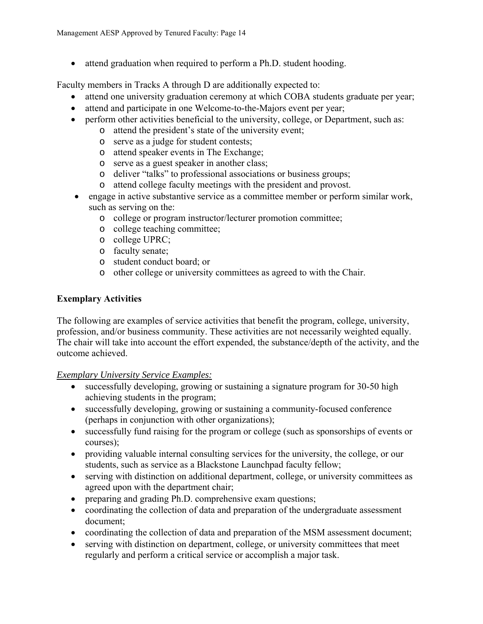attend graduation when required to perform a Ph.D. student hooding.

Faculty members in Tracks A through D are additionally expected to:

- attend one university graduation ceremony at which COBA students graduate per year;
- attend and participate in one Welcome-to-the-Majors event per year;
- perform other activities beneficial to the university, college, or Department, such as:
	- o attend the president's state of the university event;
	- o serve as a judge for student contests;
	- o attend speaker events in The Exchange;
	- o serve as a guest speaker in another class;
	- o deliver "talks" to professional associations or business groups;
	- o attend college faculty meetings with the president and provost.
- engage in active substantive service as a committee member or perform similar work, such as serving on the:
	- o college or program instructor/lecturer promotion committee;
	- o college teaching committee;
	- o college UPRC;
	- o faculty senate;
	- o student conduct board; or
	- o other college or university committees as agreed to with the Chair.

#### **Exemplary Activities**

The following are examples of service activities that benefit the program, college, university, profession, and/or business community. These activities are not necessarily weighted equally. The chair will take into account the effort expended, the substance/depth of the activity, and the outcome achieved.

#### *Exemplary University Service Examples:*

- successfully developing, growing or sustaining a signature program for 30-50 high achieving students in the program;
- successfully developing, growing or sustaining a community-focused conference (perhaps in conjunction with other organizations);
- successfully fund raising for the program or college (such as sponsorships of events or courses);
- providing valuable internal consulting services for the university, the college, or our students, such as service as a Blackstone Launchpad faculty fellow;
- serving with distinction on additional department, college, or university committees as agreed upon with the department chair;
- preparing and grading Ph.D. comprehensive exam questions;
- coordinating the collection of data and preparation of the undergraduate assessment document;
- coordinating the collection of data and preparation of the MSM assessment document;
- serving with distinction on department, college, or university committees that meet regularly and perform a critical service or accomplish a major task.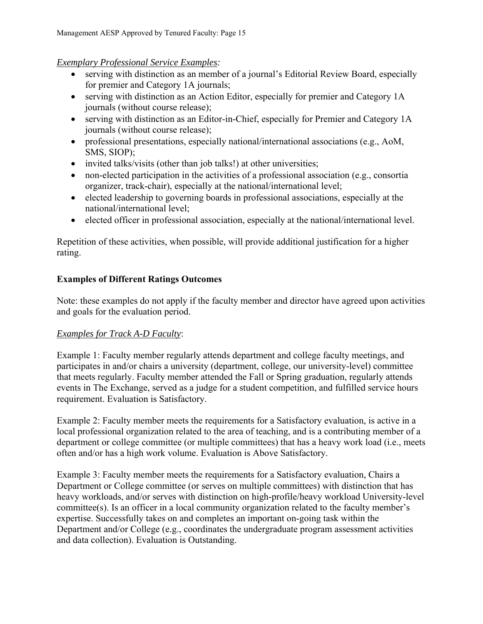# *Exemplary Professional Service Examples:*

- serving with distinction as an member of a journal's Editorial Review Board, especially for premier and Category 1A journals;
- serving with distinction as an Action Editor, especially for premier and Category 1A journals (without course release);
- serving with distinction as an Editor-in-Chief, especially for Premier and Category 1A journals (without course release);
- professional presentations, especially national/international associations (e.g., AoM, SMS, SIOP);
- invited talks/visits (other than job talks!) at other universities;
- non-elected participation in the activities of a professional association (e.g., consortia organizer, track-chair), especially at the national/international level;
- elected leadership to governing boards in professional associations, especially at the national/international level;
- elected officer in professional association, especially at the national/international level.

Repetition of these activities, when possible, will provide additional justification for a higher rating.

# **Examples of Different Ratings Outcomes**

Note: these examples do not apply if the faculty member and director have agreed upon activities and goals for the evaluation period.

# *Examples for Track A-D Faculty*:

Example 1: Faculty member regularly attends department and college faculty meetings, and participates in and/or chairs a university (department, college, our university-level) committee that meets regularly. Faculty member attended the Fall or Spring graduation, regularly attends events in The Exchange, served as a judge for a student competition, and fulfilled service hours requirement. Evaluation is Satisfactory.

Example 2: Faculty member meets the requirements for a Satisfactory evaluation, is active in a local professional organization related to the area of teaching, and is a contributing member of a department or college committee (or multiple committees) that has a heavy work load (i.e., meets often and/or has a high work volume. Evaluation is Above Satisfactory.

Example 3: Faculty member meets the requirements for a Satisfactory evaluation, Chairs a Department or College committee (or serves on multiple committees) with distinction that has heavy workloads, and/or serves with distinction on high-profile/heavy workload University-level committee(s). Is an officer in a local community organization related to the faculty member's expertise. Successfully takes on and completes an important on-going task within the Department and/or College (e.g., coordinates the undergraduate program assessment activities and data collection). Evaluation is Outstanding.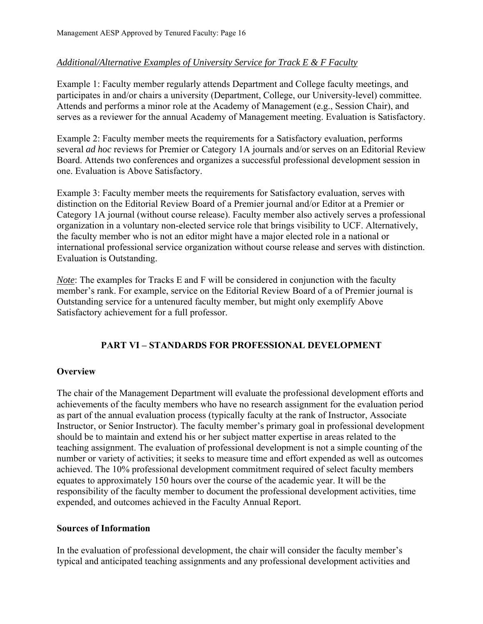#### *Additional/Alternative Examples of University Service for Track E & F Faculty*

Example 1: Faculty member regularly attends Department and College faculty meetings, and participates in and/or chairs a university (Department, College, our University-level) committee. Attends and performs a minor role at the Academy of Management (e.g., Session Chair), and serves as a reviewer for the annual Academy of Management meeting. Evaluation is Satisfactory.

Example 2: Faculty member meets the requirements for a Satisfactory evaluation, performs several *ad hoc* reviews for Premier or Category 1A journals and/or serves on an Editorial Review Board. Attends two conferences and organizes a successful professional development session in one. Evaluation is Above Satisfactory.

Example 3: Faculty member meets the requirements for Satisfactory evaluation, serves with distinction on the Editorial Review Board of a Premier journal and/or Editor at a Premier or Category 1A journal (without course release). Faculty member also actively serves a professional organization in a voluntary non-elected service role that brings visibility to UCF. Alternatively, the faculty member who is not an editor might have a major elected role in a national or international professional service organization without course release and serves with distinction. Evaluation is Outstanding.

*Note*: The examples for Tracks E and F will be considered in conjunction with the faculty member's rank. For example, service on the Editorial Review Board of a of Premier journal is Outstanding service for a untenured faculty member, but might only exemplify Above Satisfactory achievement for a full professor.

#### **PART VI – STANDARDS FOR PROFESSIONAL DEVELOPMENT**

#### **Overview**

The chair of the Management Department will evaluate the professional development efforts and achievements of the faculty members who have no research assignment for the evaluation period as part of the annual evaluation process (typically faculty at the rank of Instructor, Associate Instructor, or Senior Instructor). The faculty member's primary goal in professional development should be to maintain and extend his or her subject matter expertise in areas related to the teaching assignment. The evaluation of professional development is not a simple counting of the number or variety of activities; it seeks to measure time and effort expended as well as outcomes achieved. The 10% professional development commitment required of select faculty members equates to approximately 150 hours over the course of the academic year. It will be the responsibility of the faculty member to document the professional development activities, time expended, and outcomes achieved in the Faculty Annual Report.

#### **Sources of Information**

In the evaluation of professional development, the chair will consider the faculty member's typical and anticipated teaching assignments and any professional development activities and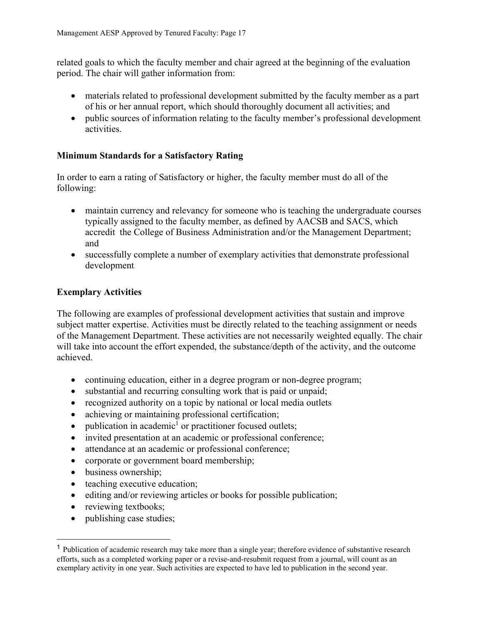related goals to which the faculty member and chair agreed at the beginning of the evaluation period. The chair will gather information from:

- materials related to professional development submitted by the faculty member as a part of his or her annual report, which should thoroughly document all activities; and
- public sources of information relating to the faculty member's professional development activities.

#### **Minimum Standards for a Satisfactory Rating**

In order to earn a rating of Satisfactory or higher, the faculty member must do all of the following:

- maintain currency and relevancy for someone who is teaching the undergraduate courses typically assigned to the faculty member, as defined by AACSB and SACS, which accredit the College of Business Administration and/or the Management Department; and
- successfully complete a number of exemplary activities that demonstrate professional development

#### **Exemplary Activities**

The following are examples of professional development activities that sustain and improve subject matter expertise. Activities must be directly related to the teaching assignment or needs of the Management Department. These activities are not necessarily weighted equally. The chair will take into account the effort expended, the substance/depth of the activity, and the outcome achieved.

- continuing education, either in a degree program or non-degree program;
- substantial and recurring consulting work that is paid or unpaid;
- recognized authority on a topic by national or local media outlets
- achieving or maintaining professional certification;
- $\bullet$  publication in academic<sup>1</sup> or practitioner focused outlets;
- invited presentation at an academic or professional conference;
- attendance at an academic or professional conference;
- corporate or government board membership;
- business ownership;
- teaching executive education;
- $\bullet$  editing and/or reviewing articles or books for possible publication;
- reviewing textbooks;

 $\overline{a}$ 

• publishing case studies;

<sup>1</sup> Publication of academic research may take more than a single year; therefore evidence of substantive research efforts, such as a completed working paper or a revise-and-resubmit request from a journal, will count as an exemplary activity in one year. Such activities are expected to have led to publication in the second year.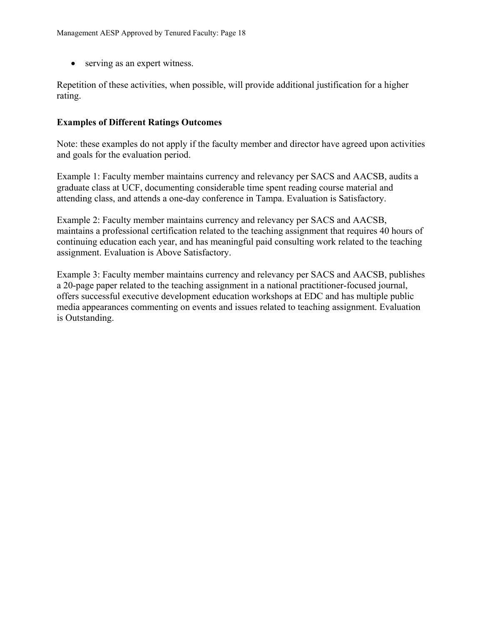• serving as an expert witness.

Repetition of these activities, when possible, will provide additional justification for a higher rating.

#### **Examples of Different Ratings Outcomes**

Note: these examples do not apply if the faculty member and director have agreed upon activities and goals for the evaluation period.

Example 1: Faculty member maintains currency and relevancy per SACS and AACSB, audits a graduate class at UCF, documenting considerable time spent reading course material and attending class, and attends a one-day conference in Tampa. Evaluation is Satisfactory.

Example 2: Faculty member maintains currency and relevancy per SACS and AACSB, maintains a professional certification related to the teaching assignment that requires 40 hours of continuing education each year, and has meaningful paid consulting work related to the teaching assignment. Evaluation is Above Satisfactory.

Example 3: Faculty member maintains currency and relevancy per SACS and AACSB, publishes a 20-page paper related to the teaching assignment in a national practitioner-focused journal, offers successful executive development education workshops at EDC and has multiple public media appearances commenting on events and issues related to teaching assignment. Evaluation is Outstanding.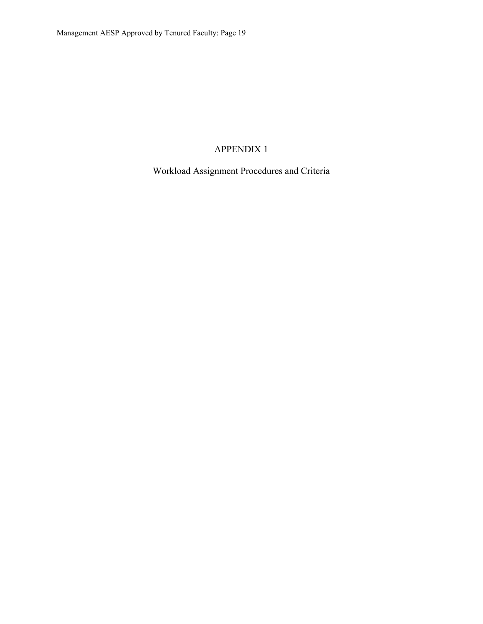# APPENDIX 1

Workload Assignment Procedures and Criteria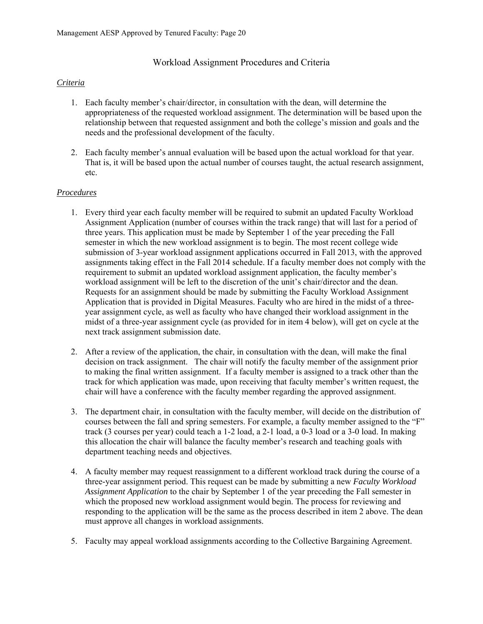#### Workload Assignment Procedures and Criteria

#### *Criteria*

- 1. Each faculty member's chair/director, in consultation with the dean, will determine the appropriateness of the requested workload assignment. The determination will be based upon the relationship between that requested assignment and both the college's mission and goals and the needs and the professional development of the faculty.
- 2. Each faculty member's annual evaluation will be based upon the actual workload for that year. That is, it will be based upon the actual number of courses taught, the actual research assignment, etc.

#### *Procedures*

- 1. Every third year each faculty member will be required to submit an updated Faculty Workload Assignment Application (number of courses within the track range) that will last for a period of three years. This application must be made by September 1 of the year preceding the Fall semester in which the new workload assignment is to begin. The most recent college wide submission of 3-year workload assignment applications occurred in Fall 2013, with the approved assignments taking effect in the Fall 2014 schedule. If a faculty member does not comply with the requirement to submit an updated workload assignment application, the faculty member's workload assignment will be left to the discretion of the unit's chair/director and the dean. Requests for an assignment should be made by submitting the Faculty Workload Assignment Application that is provided in Digital Measures. Faculty who are hired in the midst of a threeyear assignment cycle, as well as faculty who have changed their workload assignment in the midst of a three-year assignment cycle (as provided for in item 4 below), will get on cycle at the next track assignment submission date.
- 2. After a review of the application, the chair, in consultation with the dean, will make the final decision on track assignment. The chair will notify the faculty member of the assignment prior to making the final written assignment. If a faculty member is assigned to a track other than the track for which application was made, upon receiving that faculty member's written request, the chair will have a conference with the faculty member regarding the approved assignment.
- 3. The department chair, in consultation with the faculty member, will decide on the distribution of courses between the fall and spring semesters. For example, a faculty member assigned to the "F" track (3 courses per year) could teach a 1-2 load, a 2-1 load, a 0-3 load or a 3-0 load. In making this allocation the chair will balance the faculty member's research and teaching goals with department teaching needs and objectives.
- 4. A faculty member may request reassignment to a different workload track during the course of a three-year assignment period. This request can be made by submitting a new *Faculty Workload Assignment Application* to the chair by September 1 of the year preceding the Fall semester in which the proposed new workload assignment would begin. The process for reviewing and responding to the application will be the same as the process described in item 2 above. The dean must approve all changes in workload assignments.
- 5. Faculty may appeal workload assignments according to the Collective Bargaining Agreement.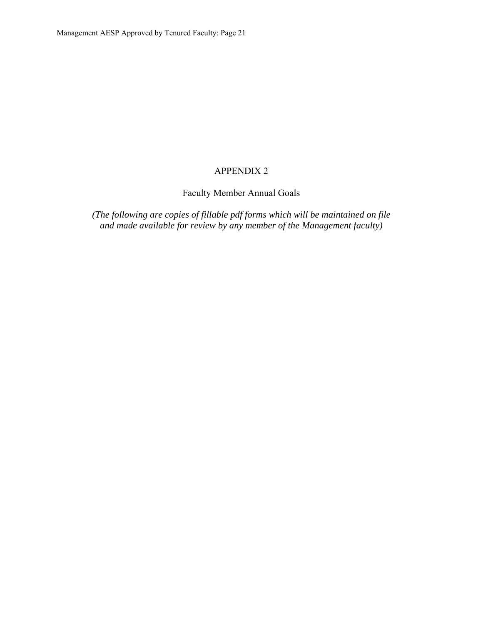# APPENDIX 2

Faculty Member Annual Goals

*(The following are copies of fillable pdf forms which will be maintained on file and made available for review by any member of the Management faculty)*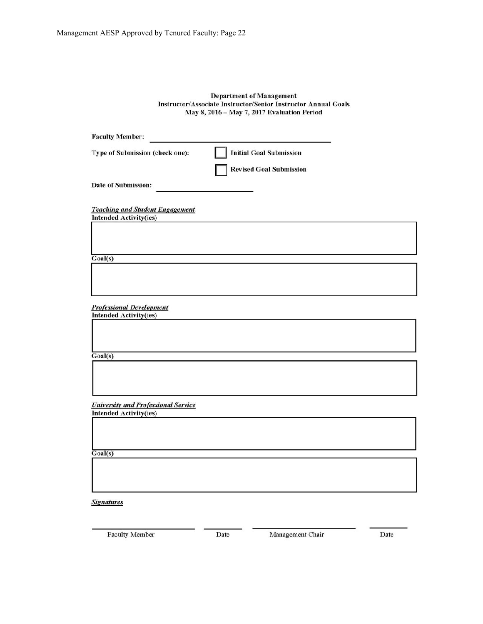#### **Department of Management** Instructor/Associate Instructor/Senior Instructor Annual Goals May 8, 2016 - May 7, 2017 Evaluation Period

| <b>Faculty Member:</b>                                                      |                                |  |
|-----------------------------------------------------------------------------|--------------------------------|--|
| Type of Submission (check one):                                             | <b>Initial Goal Submission</b> |  |
|                                                                             | <b>Revised Goal Submission</b> |  |
| Date of Submission:                                                         |                                |  |
| <b>Teaching and Student Engagement</b>                                      |                                |  |
| <b>Intended Activity(ies)</b>                                               |                                |  |
|                                                                             |                                |  |
| Goal(s)                                                                     |                                |  |
|                                                                             |                                |  |
|                                                                             |                                |  |
|                                                                             |                                |  |
| <b>Professional Development</b>                                             |                                |  |
| <b>Intended Activity(ies)</b>                                               |                                |  |
|                                                                             |                                |  |
|                                                                             |                                |  |
| Goal(s)                                                                     |                                |  |
|                                                                             |                                |  |
|                                                                             |                                |  |
|                                                                             |                                |  |
| <b>University and Professional Service</b><br><b>Intended Activity(ies)</b> |                                |  |
|                                                                             |                                |  |
|                                                                             |                                |  |
|                                                                             |                                |  |
| Goal(s)                                                                     |                                |  |
|                                                                             |                                |  |
|                                                                             |                                |  |

**Signatures** 

Management Chair

Date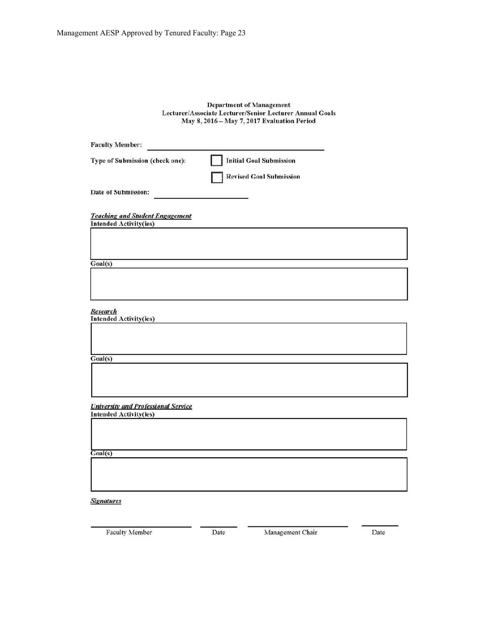# **Department of Management** Lecturer/Associate Lecturer/Senior Lecturer Annual Goals<br>May 8, 2016 – May 7, 2017 Evaluation Period

| <b>Faculty Member:</b>                                                      |                                |  |
|-----------------------------------------------------------------------------|--------------------------------|--|
| Type of Submission (check one):                                             | <b>Initial Goal Submission</b> |  |
|                                                                             | <b>Revised Goal Submission</b> |  |
| Date of Submission:                                                         |                                |  |
|                                                                             |                                |  |
| <b>Teaching and Student Engagement</b><br><b>Intended Activity(ies)</b>     |                                |  |
|                                                                             |                                |  |
|                                                                             |                                |  |
| Goal(s)                                                                     |                                |  |
|                                                                             |                                |  |
|                                                                             |                                |  |
|                                                                             |                                |  |
| <b>Research</b><br><b>Intended Activity(ies)</b>                            |                                |  |
|                                                                             |                                |  |
|                                                                             |                                |  |
| Goal(s)                                                                     |                                |  |
|                                                                             |                                |  |
|                                                                             |                                |  |
|                                                                             |                                |  |
| <b>University and Professional Service</b><br><b>Intended Activity(ies)</b> |                                |  |
|                                                                             |                                |  |
|                                                                             |                                |  |
| Goal(s)                                                                     |                                |  |
|                                                                             |                                |  |
|                                                                             |                                |  |
|                                                                             |                                |  |
| <b>Signatures</b>                                                           |                                |  |

Faculty Member

Management Chair

Date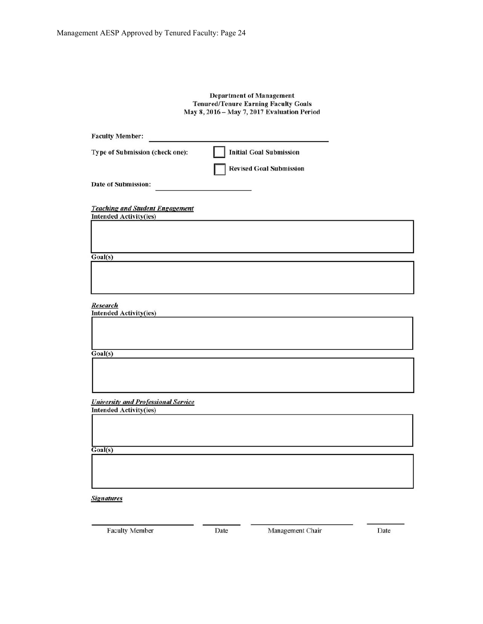# **Department of Management** Tenured/Tenure Earning Faculty Goals<br>May 8, 2016 – May 7, 2017 Evaluation Period

| <b>Faculty Member:</b>                                                  |                                |  |
|-------------------------------------------------------------------------|--------------------------------|--|
| Type of Submission (check one):                                         | <b>Initial Goal Submission</b> |  |
|                                                                         | <b>Revised Goal Submission</b> |  |
| Date of Submission:                                                     |                                |  |
| <b>Teaching and Student Engagement</b><br><b>Intended Activity(ies)</b> |                                |  |
|                                                                         |                                |  |
| Goal(s)                                                                 |                                |  |
|                                                                         |                                |  |
| <b>Research</b><br><b>Intended Activity(ies)</b>                        |                                |  |
|                                                                         |                                |  |
| Goal(s)                                                                 |                                |  |
|                                                                         |                                |  |
| <b>University and Professional Service</b>                              |                                |  |
| <b>Intended Activity(ies)</b>                                           |                                |  |
|                                                                         |                                |  |
| $\overline{Goal(s)}$                                                    |                                |  |
|                                                                         |                                |  |

**Signatures** 

Faculty Member

Management Chair

Date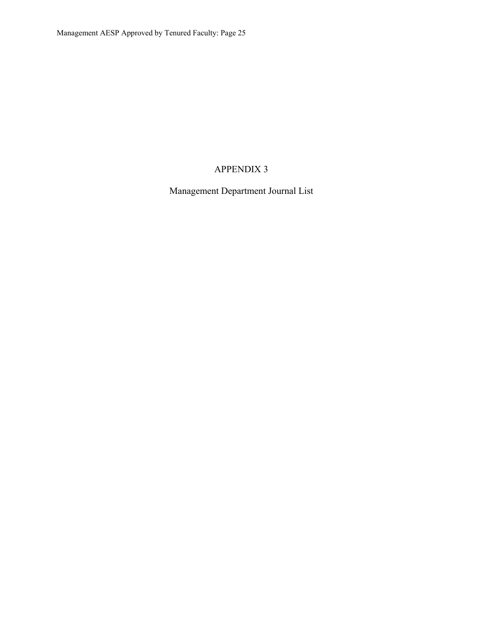# APPENDIX 3

Management Department Journal List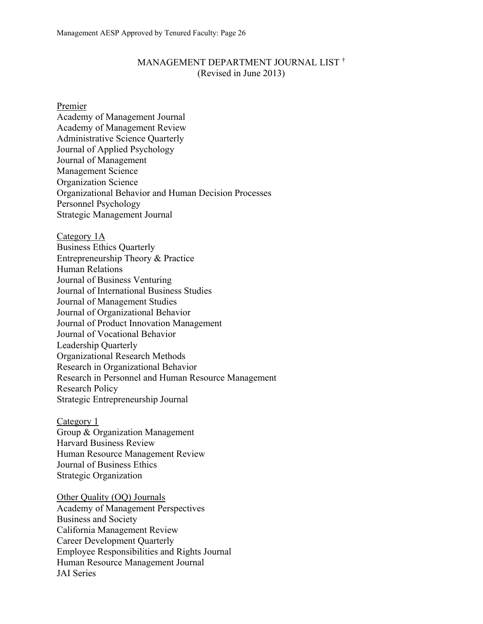#### MANAGEMENT DEPARTMENT JOURNAL LIST † (Revised in June 2013)

Premier

Academy of Management Journal Academy of Management Review Administrative Science Quarterly Journal of Applied Psychology Journal of Management Management Science Organization Science Organizational Behavior and Human Decision Processes Personnel Psychology Strategic Management Journal

Category 1A Business Ethics Quarterly Entrepreneurship Theory & Practice Human Relations Journal of Business Venturing Journal of International Business Studies Journal of Management Studies Journal of Organizational Behavior Journal of Product Innovation Management Journal of Vocational Behavior Leadership Quarterly Organizational Research Methods Research in Organizational Behavior Research in Personnel and Human Resource Management Research Policy Strategic Entrepreneurship Journal

Category 1 Group & Organization Management Harvard Business Review Human Resource Management Review Journal of Business Ethics Strategic Organization

Other Quality (OQ) Journals Academy of Management Perspectives Business and Society California Management Review Career Development Quarterly Employee Responsibilities and Rights Journal Human Resource Management Journal JAI Series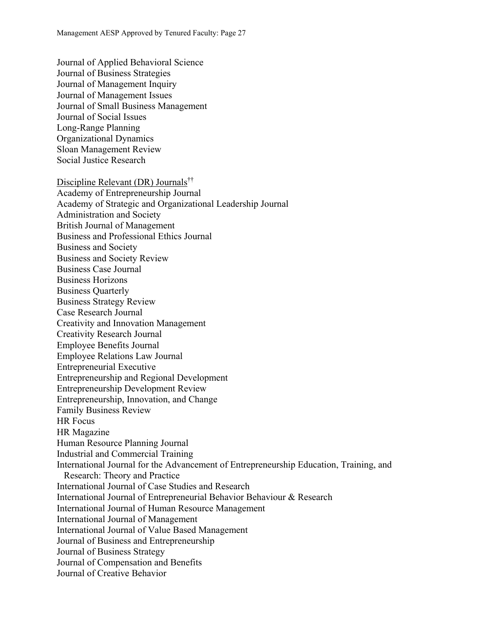Journal of Applied Behavioral Science Journal of Business Strategies Journal of Management Inquiry Journal of Management Issues Journal of Small Business Management Journal of Social Issues Long-Range Planning Organizational Dynamics Sloan Management Review Social Justice Research

Discipline Relevant (DR) Journals†† Academy of Entrepreneurship Journal Academy of Strategic and Organizational Leadership Journal Administration and Society British Journal of Management Business and Professional Ethics Journal Business and Society Business and Society Review Business Case Journal Business Horizons Business Quarterly Business Strategy Review Case Research Journal Creativity and Innovation Management Creativity Research Journal Employee Benefits Journal Employee Relations Law Journal Entrepreneurial Executive Entrepreneurship and Regional Development Entrepreneurship Development Review Entrepreneurship, Innovation, and Change Family Business Review HR Focus HR Magazine Human Resource Planning Journal Industrial and Commercial Training International Journal for the Advancement of Entrepreneurship Education, Training, and Research: Theory and Practice International Journal of Case Studies and Research International Journal of Entrepreneurial Behavior Behaviour & Research International Journal of Human Resource Management International Journal of Management International Journal of Value Based Management Journal of Business and Entrepreneurship Journal of Business Strategy Journal of Compensation and Benefits Journal of Creative Behavior